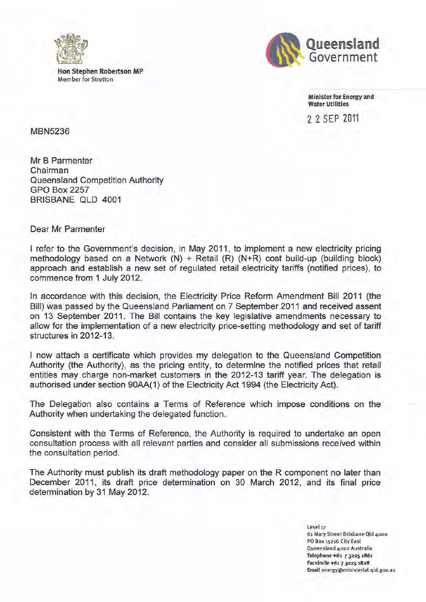

**Han Stephen Robertson MP Member for Stretton** 



**Minister for Energy and Water Utilities** 

2 2 SEP ZOll

MBN5236

Mr B Parmenter **Chairman**  Queensland Competition Authority GPO Box 2257 BRISBANE QLD 4001

**Dear Mr Parmenter** 

I refer to the Government's decision, in May 2011, to implement a new electricity pricing methodology based on a Network  $(N)$  + Retail  $(R)$   $(N+R)$  cost build-up (building block) approach and establish a new set of regulated retail electricity tariffs (notified prices), to commence from 1 July 2012.

In accordance with this decision, the Electricity Price Reform Amendment Bill 2011 (the Bill) was passed by the Queensland Parliament on 7 September 2011 and received assent on 13 September 2011. The Bill contains the key legislative amendments necessary to allow for the implementation of a new electricity price-setting methodology and set of tariff structures in 2012-13.

I now attach a certificate which provides my delegation to the Queensland Competition Authority (the Authority), as the pricing entity, to determine the notified prices that retail entities may charge non-market customers in the 2012-13 tariff year. The delegation is authorised under section 90AA(I) of the Electricity Act 1994 (the Electricity Act).

**The Delegation also contains a Terms of Reference which impose conditions on the**  Authority when undertaking the delegated function.

Consistent with the Terms of Reference, the Authority is required to undertake an open **consultation process with all relevant parties and consider all submissions rece ived within the consultation period.** 

The Authority must publish its draft methodology paper on the R component no later than December 2011, its draft price determination on 30 March 2012, and its final price determination by 31 May 2012.

> **Level l7 61 Mary Street Brisbane Qld 4000 PO Box 15216 City East Queensland 4002 Australia Telephone +61 7 32251861 FacsImile +611 3225 1828**  Email energy@ministerial.qld.gov.au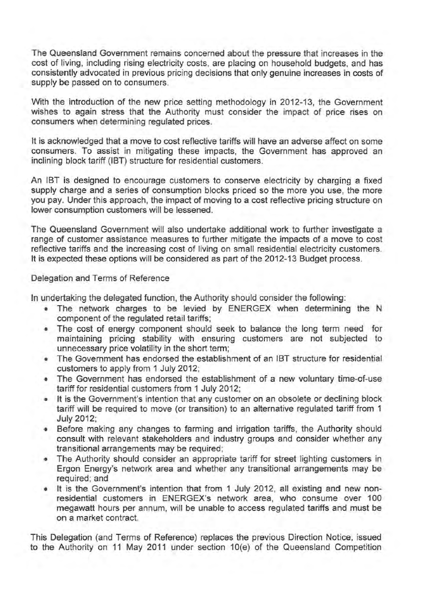**The Queensland Government remains concerned about the pressure that increases in the**  cost of living, including rising electricity costs, are placing on household budgets, and has **consistently advocated in previous pricing decisions that only genuine increases in costs of supply be passed on to consumers.** 

With the introduction of the new price setting methodology in 2012-13, the Government **wishes to again stress that the Authority must consider the impact of price rises on consumers when determining regulated prices.** 

**It is acknowledged that a move to cost reflective tariffs will have an adverse affect on some consumers. To assist in mitigating these impacts, the Government has approved an**  inclining block tariff (IBT) structure for residential customers.

An IBT is designed to encourage customers to conserve electricity by charging a fixed supply charge and a series of consumption blocks priced so the more you use, the more you pay. Under this approach, the impact of moving to a cost reflective pricing structure on **lower consumption customers will be lessened.** 

**The Queensland Government will also undertake additional work to further investigate a range of customer assistance measures to further mitigate the impacts of a move to cost reflective tariffs and the increasing cost of living on small residential electricity customers.**  It is expected these options will be considered as part of the 2012-13 Budget process.

### **Delegation and Terms of Reference**

In undertaking the delegated function, the Authority should consider the following:

- The network charges to be levied by ENERGEX when determining the N component of the regulated retail tariffs;
- The cost of energy component should seek to balance the long term need for **maintaining pricing stability with ensuring customers are not subjected to**  unnecessary price volatility in the short term;
- The Government has endorsed the establishment of an IBT structure for residential customers to apply from 1 July 2012;
- The Government has endorsed the establishment of a new voluntary time-of-use tariff for residential customers from 1 July 2012;
- **It is the Government's intention that any customer on an obsolete or declining block**  tariff will be required to move (or transition) to an alternative regulated tariff from 1 July 2012;
- Before making any changes to farming and irrigation tariffs, the Authority should consult with relevant stakeholders and industry groups and consider whether any **transitional arrangements may be required;**
- The Authority should consider an appropriate tariff for street lighting customers in **Ergon Energy's network area and whether any transitional arrangements may be**  required; and
- It is the Government's intention that from 1 July 2012, all existing and new nonresidential customers in ENERGEX's network area, who consume over 100 **megawatt hours per annum, will be unable to access regulated tariffs and must be on a market contract.**

**This Delegation (and Terms of Reference) replaces the previous Direction Notice, issued**  to the Authority on 11 May 2011 under section 10(e) of the Queensland Competition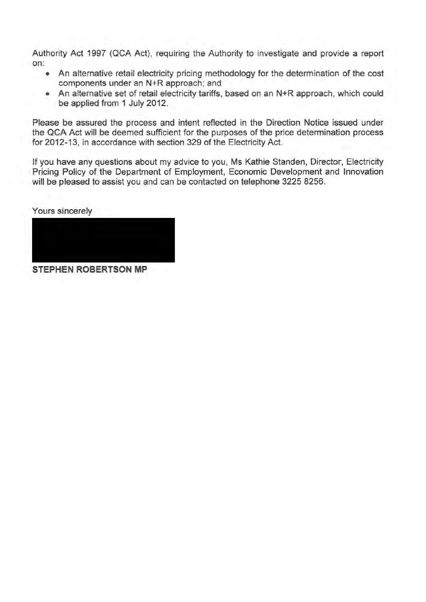Authority Act 1997 (QCA Act), requiring the Authority to investigate and provide a report **on:** 

- An alternative retail electricity pricing methodology for the determination of the cost **components under an N+R approach; and**
- **An alternative set of retail electricity tariffs, based on an N+R approach, which could**  be applied from 1 July 2012.

**Please be assured the process and intent reflected in the Direction Notice issued under**  the QCA Act will be deemed sufficient for the purposes of the price determination process for 2012-13, in accordance with section 329 of the Electricity Act.

If you have any questions about my advice to you, Ms Kathie Standen, Director, Electricity Pricing Policy of the Department of Employment, Economic Development and Innovation will be pleased to assist you and can be contacted on telephone 3225 8256.

Yours sincerely

**STEPHEN ROBERTSON MP**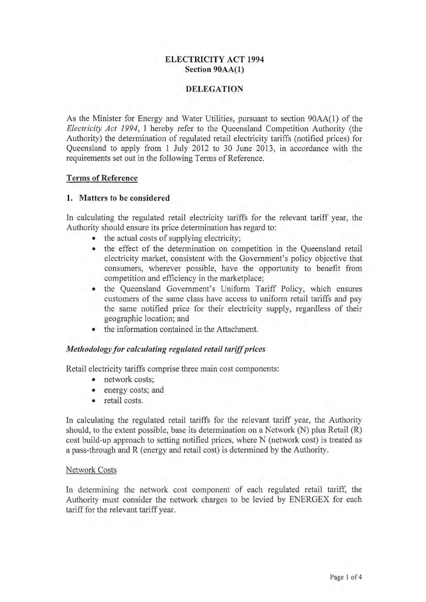# **ELECTRICITY** ACT **1994**  Section 90AA(I)

### **DELEGATION**

As the Minister for Energy and Water Utilities, pursuant to section 90AA(l) of the *Electricity Act* 1994, I hereby refer to the Queensland Competition Authority (the Authority) the determination of regulated retail electricity tariffs (notified prices) for Queensland to apply from I July 2012 to 30 June 2013, in accordance with the requirements set out in the following Terms of Reference.

### Terms of Reference

### 1. Matters to be considered

In calculating the regulated retail electricity tariffs for the relevant tariff year, the Authority should ensure its price determination has regard to:

- the actual costs of supplying electricity;
- the effect of the determination on competition in the Queensland retail electricity market, consistent with the Government's policy objective that consumers, wherever possible, have the opportunity to benefit from competition and efficiency in the marketplace;
- the Queensland Government's Uniform Tariff Policy, which ensures customers of the same class have access to uniform retail tariffs and pay the same notified price for their electricity supply, regardless of their geographic location; and
- the information contained in the Attachment.

### *Methodology for calculating regulated retail tariff prices*

Retail electricity tariffs comprise three main cost components:

- network costs;
- energy costs; and
- retail costs.

In calculating the regulated retail tariffs for the relevant tariff year, the Authority should, to the extent possible, base its determination on a Network (N) plus Retail (R) cost build-up approach to setting notified prices, where N (network cost) is treated as a pass-through and R (energy and retail cost) is determined by the Authority.

### Network Costs

In determining the network cost component of each regulated retail tariff, the Authority must consider the network charges to be levied by ENERGEX for each tariff for the relevant tariff year.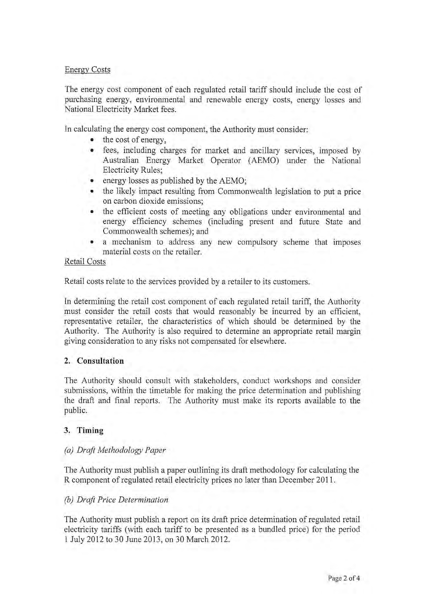### Energy Costs

The energy cost component of each regulated retail tariff should include the cost of purchasing energy, environmental and renewable energy costs, energy losses and National Electricity Market fees.

In calculating the energy cost component, the Authority must consider:

- the cost of energy,
- fees, including charges for market and ancillary services, imposed by Australian Energy Market Operator (AEMO) under the National Electricity Rules;
- energy losses as published by the AEMO;
- the likely impact resulting from Commonwealth legislation to put a price on carbon dioxide emissions;
- the efficient costs of meeting any obligations under environmental and energy efficiency schemes (including present and future State and Commonwealth schemes); and
- a mechanism to address any new compulsory scheme that imposes material costs on the retailer.

#### Retail Costs

Retail costs relate to the services provided by a retailer to its customers.

In determining the retail cost component of each regulated retail tariff, the Authority must consider the retail costs that would reasonably be incurred by an efficient, representative retailer, the characteristics of which should be determined by the Authority. The Authority is also required to determine an appropriate retail margin . giving consideration to any risks not compensated for elsewhere.

### 2. **Consultation**

The Authority should consult with stakeholders, conduct workshops and consider submissions, within the timetable for making the price determination and publishing the draft and final reports. The Authority must make its reports available to the public.

### **3. Timing**

### *(a) Draft Methodology Paper*

The Authority must publish a paper outlining its draft methodology for calculating the R component of regulated retail electricity prices no later than December 2011.

### *(b) Draft Price Determination*

The Authority must publish a report on its draft price determination of regulated retail electricity tariffs (with each tariff to be presented as a bundled price) for the period 1 July 2012 to 30 June 2013, on 30 March 2012.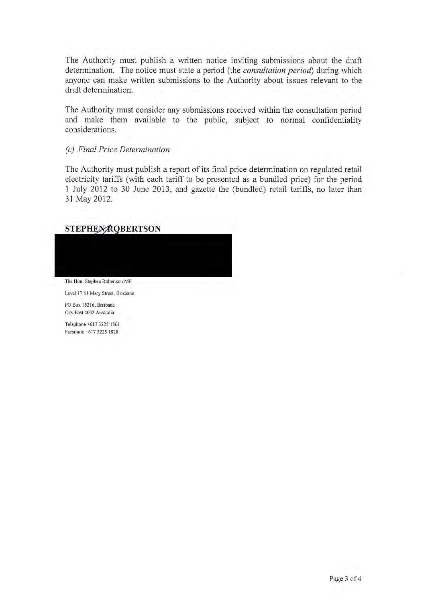The Authority must publish a written notice inviting submissions about the draft determination. The notice must state a period (the *consultation period)* during which anyone can make written submissions to the Authority about issues relevant to the draft determination.

The Authority must consider any submissions received within the consultation period and make them available to the public, subject to normal confidentiality considerations.

#### *(c) Final Price Determination*

The Authority must publish a report of its final price determination on regulated retail electricity tariffs (with each tariff to be presented as a bundled price) for the period I July 2012 to 30 June 2013, and gazette the (bundled) retail tariffs, no later than 31 May 2012.

## **STEPHEX ROBERTSON**

**The Hon Stephen Robertson MP** 

**Level 17 61 Mary Street, Bnsbane** 

**PO Box 15216, Brisbane Clty East 4002 Australia** 

**Telephone +61732251861 FacsHmJe +6 17 3225 1828**